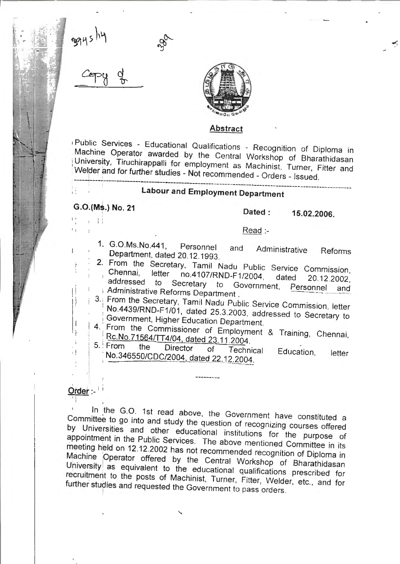

### **Abstract**

1 Public Services - Educational Qualifications - Recognition of Diploma in Machine Operator awarded by the Central Workshop of Bharathidasan University, Tiruchirappalli for employment as Machinist, Turner, Fitter and Welder and for further studies - Not recommended - Orders - Issued.

## \_\_\_\_ \_l\_ \_\_\_ -~-------~-~--~-------------------------------- ------------------ -- --- **La bou rand Employment Department**

I

 $\bar{1}$  $\mathbf{I}$ 

# **G.0.(Ms.) No. 21 Dated : 15.02.2006.**

Read :-

- 1. G.O.Ms.No.441, Personnel and Administrative Reforms Department, dated 20.12.1993.
- 2. From the Secretary, Tamil Nadu Public Service Commission, Chennai, letter no.4107/RND-F1/2004, dated 20.12.2002, Chennai, letter no.4107/RND-F1/2004, dated 20.12.2002,<br>addressed to Secretary to Government, Personnel and
- Administrative Reforms Department .
	- 3. From the Secretary, Tamil Nadu Public Service Commission. letter No.4439/RND-F1/01, dated 25.3.2003, addressed to Secretary to Government, Higher Education Department.
- $\begin{bmatrix} 4. \end{bmatrix}$ From the Commissioner of Employment & Training, Chennai, Rc.No.71564/TT4/04, dated 23.11.2004.<br>5. From the Director of Technical
	- No.346550/CDC/2004, dated 22.12.2004, Education, letter

### Order: -

i i

 $\mathfrak{f}$  $\mathbf{i}$ 

In the G.O. 1st read above, the Government have constituted a Committee to go into and study the question of recognizing courses offered by Universities and other educational institutions for the purpose of appointment in the Public Services. The above mentioned Committee in its meeting held on 12.12.2002 has not recommended recognition of Diploma in Machine Operator offered by the Central Workshop of Bharathidasan University as equivalent to the educational qualifications prescribed for recruitment to the posts of Machinist, Turner, Fitter, Welder, etc., and for further studies and requested the Government to pass orders.